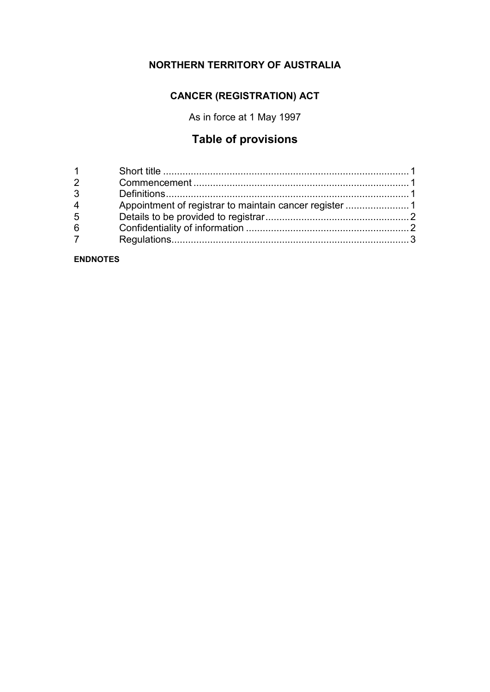## **NORTHERN TERRITORY OF AUSTRALIA**

## **CANCER (REGISTRATION) ACT**

As in force at 1 May 1997

# **Table of provisions**

| $1 \quad \blacksquare$ |  |
|------------------------|--|
| $\overline{2}$         |  |
| 3                      |  |
| $\overline{4}$         |  |
| 5                      |  |
| 6                      |  |
| 7 <sup>7</sup>         |  |
|                        |  |

**ENDNOTES**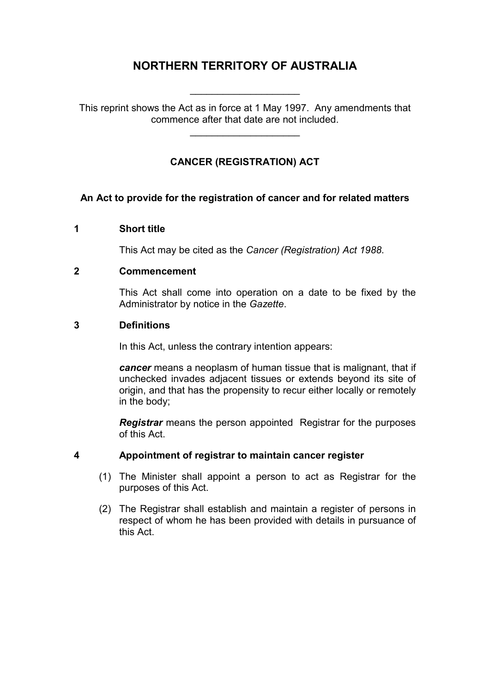## **NORTHERN TERRITORY OF AUSTRALIA**

\_\_\_\_\_\_\_\_\_\_\_\_\_\_\_\_\_\_\_\_

This reprint shows the Act as in force at 1 May 1997. Any amendments that commence after that date are not included.

\_\_\_\_\_\_\_\_\_\_\_\_\_\_\_\_\_\_\_\_

## **CANCER (REGISTRATION) ACT**

#### **An Act to provide for the registration of cancer and for related matters**

#### **1 Short title**

This Act may be cited as the *Cancer (Registration) Act 1988*.

#### **2 Commencement**

This Act shall come into operation on a date to be fixed by the Administrator by notice in the *Gazette*.

#### **3 Definitions**

In this Act, unless the contrary intention appears:

*cancer* means a neoplasm of human tissue that is malignant, that if unchecked invades adjacent tissues or extends beyond its site of origin, and that has the propensity to recur either locally or remotely in the body;

*Registrar* means the person appointed Registrar for the purposes of this Act.

#### **4 Appointment of registrar to maintain cancer register**

- (1) The Minister shall appoint a person to act as Registrar for the purposes of this Act.
- (2) The Registrar shall establish and maintain a register of persons in respect of whom he has been provided with details in pursuance of this Act.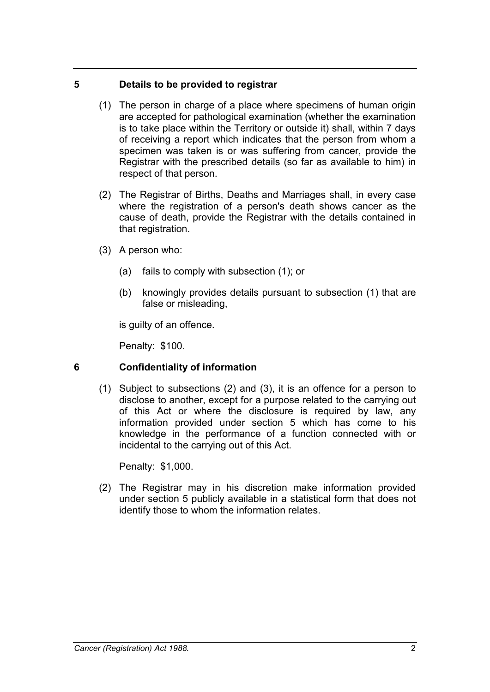#### **5 Details to be provided to registrar**

- (1) The person in charge of a place where specimens of human origin are accepted for pathological examination (whether the examination is to take place within the Territory or outside it) shall, within 7 days of receiving a report which indicates that the person from whom a specimen was taken is or was suffering from cancer, provide the Registrar with the prescribed details (so far as available to him) in respect of that person.
- (2) The Registrar of Births, Deaths and Marriages shall, in every case where the registration of a person's death shows cancer as the cause of death, provide the Registrar with the details contained in that registration.
- (3) A person who:
	- (a) fails to comply with subsection (1); or
	- (b) knowingly provides details pursuant to subsection (1) that are false or misleading,

is guilty of an offence.

Penalty: \$100.

## **6 Confidentiality of information**

(1) Subject to subsections (2) and (3), it is an offence for a person to disclose to another, except for a purpose related to the carrying out of this Act or where the disclosure is required by law, any information provided under section 5 which has come to his knowledge in the performance of a function connected with or incidental to the carrying out of this Act.

Penalty: \$1,000.

(2) The Registrar may in his discretion make information provided under section 5 publicly available in a statistical form that does not identify those to whom the information relates.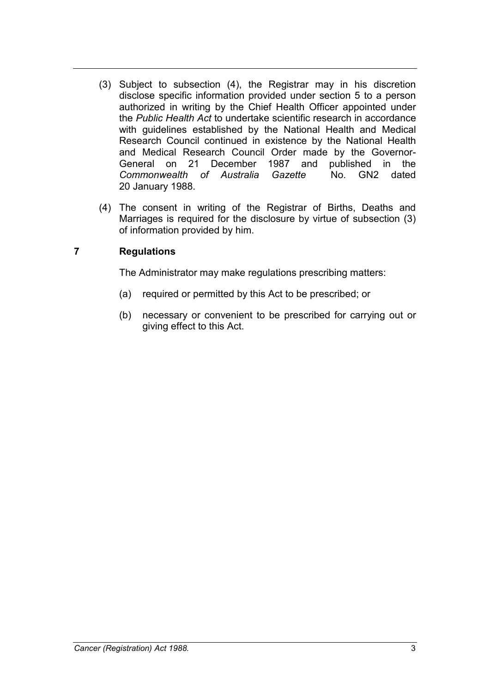- (3) Subject to subsection (4), the Registrar may in his discretion disclose specific information provided under section 5 to a person authorized in writing by the Chief Health Officer appointed under the *Public Health Act* to undertake scientific research in accordance with guidelines established by the National Health and Medical Research Council continued in existence by the National Health and Medical Research Council Order made by the Governor-<br>General on 21 December 1987 and published in the General on 21 December 1987 and published<br>Commonwealth of Australia Gazette No. GN2 *Commonwealth of Australia Gazette* No. GN2 dated 20 January 1988.
- (4) The consent in writing of the Registrar of Births, Deaths and Marriages is required for the disclosure by virtue of subsection (3) of information provided by him.

### **7 Regulations**

The Administrator may make regulations prescribing matters:

- (a) required or permitted by this Act to be prescribed; or
- (b) necessary or convenient to be prescribed for carrying out or giving effect to this Act.